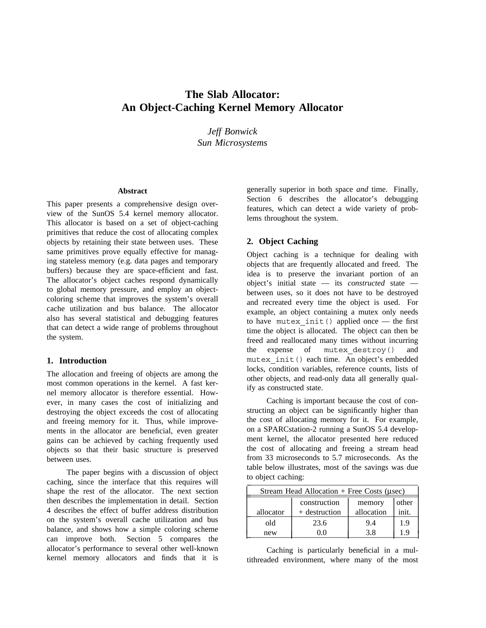# **The Slab Allocator: An Object-Caching Kernel Memory Allocator**

*Jeff Bonwick Sun Microsystems*

#### **Abstract**

This paper presents a comprehensive design overview of the SunOS 5.4 kernel memory allocator. This allocator is based on a set of object-caching primitives that reduce the cost of allocating complex objects by retaining their state between uses. These same primitives prove equally effective for managing stateless memory (e.g. data pages and temporary buffers) because they are space-efficient and fast. The allocator's object caches respond dynamically to global memory pressure, and employ an objectcoloring scheme that improves the system's overall cache utilization and bus balance. The allocator also has several statistical and debugging features that can detect a wide range of problems throughout the system.

#### **1. Introduction**

The allocation and freeing of objects are among the most common operations in the kernel. A fast kernel memory allocator is therefore essential. However, in many cases the cost of initializing and destroying the object exceeds the cost of allocating and freeing memory for it. Thus, while improvements in the allocator are beneficial, even greater gains can be achieved by caching frequently used objects so that their basic structure is preserved between uses.

The paper begins with a discussion of object caching, since the interface that this requires will shape the rest of the allocator. The next section then describes the implementation in detail. Section 4 describes the effect of buffer address distribution on the system's overall cache utilization and bus balance, and shows how a simple coloring scheme can improve both. Section 5 compares the allocator's performance to several other well-known kernel memory allocators and finds that it is generally superior in both space *and* time. Finally, Section 6 describes the allocator's debugging features, which can detect a wide variety of problems throughout the system.

#### **2. Object Caching**

Object caching is a technique for dealing with objects that are frequently allocated and freed. The idea is to preserve the invariant portion of an object's initial state — its *constructed* state between uses, so it does not have to be destroyed and recreated every time the object is used. For example, an object containing a mutex only needs to have mutex\_init() applied once — the first time the object is allocated. The object can then be freed and reallocated many times without incurring the expense of mutex\_destroy() and mutex\_init() each time. An object's embedded locks, condition variables, reference counts, lists of other objects, and read-only data all generally qualify as constructed state.

Caching is important because the cost of constructing an object can be significantly higher than the cost of allocating memory for it. For example, on a SPARCstation-2 running a SunOS 5.4 development kernel, the allocator presented here reduced the cost of allocating and freeing a stream head from 33 microseconds to 5.7 microseconds. As the table below illustrates, most of the savings was due to object caching: \_ \_\_\_\_\_\_\_\_\_\_\_\_\_\_\_\_\_\_\_\_\_\_\_\_\_\_\_\_\_\_\_\_\_\_\_\_\_\_\_\_\_\_\_

| Stream Head Allocation $+$ Free Costs (usec) |               |            |       |  |
|----------------------------------------------|---------------|------------|-------|--|
|                                              | construction  | memory     | other |  |
| allocator                                    | + destruction | allocation | init. |  |
| old                                          | 23.6          | 9.4        | 1.9   |  |
| new                                          |               | 3.8        | 1.9   |  |

Caching is particularly beneficial in a multithreaded environment, where many of the most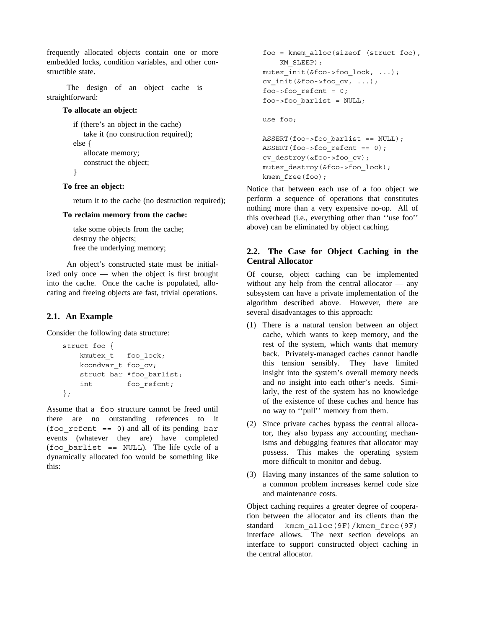frequently allocated objects contain one or more embedded locks, condition variables, and other constructible state.

The design of an object cache is straightforward:

### **To allocate an object:**

```
if (there's an object in the cache)
   take it (no construction required);
else {
   allocate memory;
   construct the object;
}
```
# **To free an object:**

return it to the cache (no destruction required);

### **To reclaim memory from the cache:**

take some objects from the cache; destroy the objects; free the underlying memory;

An object's constructed state must be initialized only once — when the object is first brought into the cache. Once the cache is populated, allocating and freeing objects are fast, trivial operations.

# **2.1. An Example**

Consider the following data structure:

```
struct foo {
   kmutex t foo lock;
   kcondvar_t foo_cv;
   struct bar *foo barlist;
   int foo_refcnt;
};
```
Assume that a foo structure cannot be freed until there are no outstanding references to it (foo refcnt  $== 0$ ) and all of its pending bar events (whatever they are) have completed (foo barlist  $==$  NULL). The life cycle of a dynamically allocated foo would be something like this:

```
foo = kmem_alloc(sizeof (struct foo),
    KM_SLEEP);
mutex_init(&foo->foo_lock, ...);
cv_init(&foo->foo_cv, ...);
foo->foo_refcnt = 0;
foo->foo barlist = NULL;
use foo;
```

```
ASSERT(foo->foo_barlist == NULL);
ASSERT(foo->foo_refcnt == 0);
cv_destroy(&foo->foo_cv);
mutex_destroy(&foo->foo_lock);
kmem free(foo);
```
Notice that between each use of a foo object we perform a sequence of operations that constitutes nothing more than a very expensive no-op. All of this overhead (i.e., everything other than ''use foo'' above) can be eliminated by object caching.

# **2.2. The Case for Object Caching in the Central Allocator**

Of course, object caching can be implemented without any help from the central allocator — any subsystem can have a private implementation of the algorithm described above. However, there are several disadvantages to this approach:

- (1) There is a natural tension between an object cache, which wants to keep memory, and the rest of the system, which wants that memory back. Privately-managed caches cannot handle this tension sensibly. They have limited insight into the system's overall memory needs and *no* insight into each other's needs. Similarly, the rest of the system has no knowledge of the existence of these caches and hence has no way to ''pull'' memory from them.
- (2) Since private caches bypass the central allocator, they also bypass any accounting mechanisms and debugging features that allocator may possess. This makes the operating system more difficult to monitor and debug.
- (3) Having many instances of the same solution to a common problem increases kernel code size and maintenance costs.

Object caching requires a greater degree of cooperation between the allocator and its clients than the standard kmem\_alloc(9F)/kmem\_free(9F) interface allows. The next section develops an interface to support constructed object caching in the central allocator.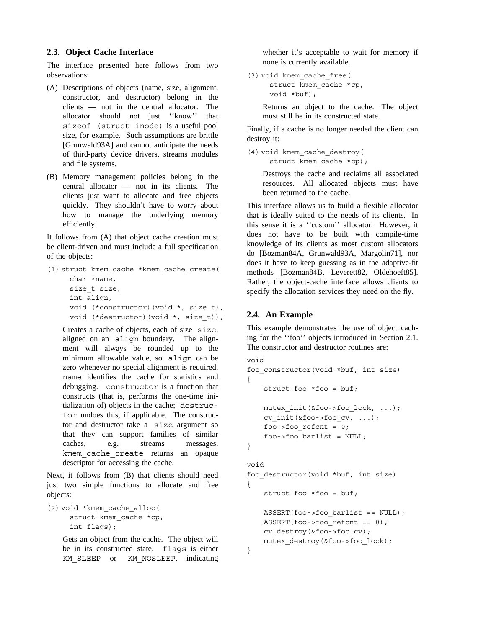### **2.3. Object Cache Interface**

The interface presented here follows from two observations:

- (A) Descriptions of objects (name, size, alignment, constructor, and destructor) belong in the clients — not in the central allocator. The allocator should not just ''know'' that sizeof (struct inode) is a useful pool size, for example. Such assumptions are brittle [Grunwald93A] and cannot anticipate the needs of third-party device drivers, streams modules and file systems.
- (B) Memory management policies belong in the central allocator — not in its clients. The clients just want to allocate and free objects quickly. They shouldn't have to worry about how to manage the underlying memory efficiently.

It follows from (A) that object cache creation must be client-driven and must include a full specification of the objects:

```
(1) struct kmem_cache *kmem_cache_create(
     char *name,
     size_t size,
     int align,
     void (*constructor)(void *, size_t),
     void (*destructor)(void *, size_t));
```
Creates a cache of objects, each of size size, aligned on an align boundary. The alignment will always be rounded up to the minimum allowable value, so align can be zero whenever no special alignment is required. name identifies the cache for statistics and debugging. constructor is a function that constructs (that is, performs the one-time initialization of) objects in the cache; destructor undoes this, if applicable. The constructor and destructor take a size argument so that they can support families of similar caches, e.g. streams messages. kmem cache create returns an opaque descriptor for accessing the cache.

Next, it follows from (B) that clients should need just two simple functions to allocate and free objects:

```
(2) void *kmem_cache_alloc(
     struct kmem_cache *cp,
     int flags);
```
Gets an object from the cache. The object will be in its constructed state. flags is either KM SLEEP or KM NOSLEEP, indicating whether it's acceptable to wait for memory if none is currently available.

(3) void kmem\_cache\_free( struct kmem cache \*cp, void \*buf);

> Returns an object to the cache. The object must still be in its constructed state.

Finally, if a cache is no longer needed the client can destroy it:

```
(4) void kmem_cache_destroy(
     struct kmem cache *cp);
```
Destroys the cache and reclaims all associated resources. All allocated objects must have been returned to the cache.

This interface allows us to build a flexible allocator that is ideally suited to the needs of its clients. In this sense it is a ''custom'' allocator. However, it does not have to be built with compile-time knowledge of its clients as most custom allocators do [Bozman84A, Grunwald93A, Margolin71], nor does it have to keep guessing as in the adaptive-fit methods [Bozman84B, Leverett82, Oldehoeft85]. Rather, the object-cache interface allows clients to specify the allocation services they need on the fly.

# **2.4. An Example**

}

This example demonstrates the use of object caching for the ''foo'' objects introduced in Section 2.1. The constructor and destructor routines are:

```
void
foo_constructor(void *buf, int size)
{
    struct foo *foo = buf;
    mutex_init(&foo->foo_lock, ...);
    cv_init(&foo->foo_cv, ...);
    foo->foo\_refcnt = 0;foo->foo_barlist = NULL;
}
void
foo_destructor(void *buf, int size)
{
    struct foo *foo = buf;
    ASSERT(foo->foo_barlist == NULL);
    ASSERT(foo->foo_refcnt == 0);
    cv_destroy(&foo->foo_cv);
    mutex_destroy(&foo->foo_lock);
```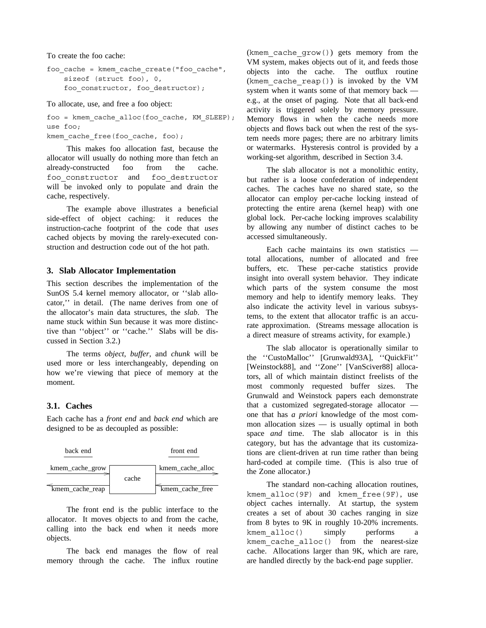To create the foo cache:

```
foo_cache = kmem_cache_create("foo_cache",
   sizeof (struct foo), 0,
   foo_constructor, foo_destructor);
```
To allocate, use, and free a foo object:

foo = kmem\_cache\_alloc(foo\_cache, KM\_SLEEP); use foo;

kmem cache free(foo cache, foo);

This makes foo allocation fast, because the allocator will usually do nothing more than fetch an already-constructed foo from the cache. foo\_constructor and foo\_destructor will be invoked only to populate and drain the cache, respectively.

The example above illustrates a beneficial side-effect of object caching: it reduces the instruction-cache footprint of the code that *uses* cached objects by moving the rarely-executed construction and destruction code out of the hot path.

#### **3. Slab Allocator Implementation**

This section describes the implementation of the SunOS 5.4 kernel memory allocator, or ''slab allocator,'' in detail. (The name derives from one of the allocator's main data structures, the *slab*. The name stuck within Sun because it was more distinctive than ''object'' or ''cache.'' Slabs will be discussed in Section 3.2.)

The terms *object*, *buffer*, and *chunk* will be used more or less interchangeably, depending on how we're viewing that piece of memory at the moment.

# **3.1. Caches**

Each cache has a *front end* and *back end* which are designed to be as decoupled as possible:

| back end        |       | front end        |
|-----------------|-------|------------------|
| kmem cache grow | cache | kmem cache alloc |
| kmem cache reap |       | kmem cache free  |

The front end is the public interface to the allocator. It moves objects to and from the cache, calling into the back end when it needs more objects.

The back end manages the flow of real memory through the cache. The influx routine

(kmem\_cache\_grow()) gets memory from the VM system, makes objects out of it, and feeds those objects into the cache. The outflux routine (kmem cache reap()) is invoked by the VM system when it wants some of that memory back e.g., at the onset of paging. Note that all back-end activity is triggered solely by memory pressure. Memory flows in when the cache needs more objects and flows back out when the rest of the system needs more pages; there are no arbitrary limits or watermarks. Hysteresis control is provided by a working-set algorithm, described in Section 3.4.

The slab allocator is not a monolithic entity, but rather is a loose confederation of independent caches. The caches have no shared state, so the allocator can employ per-cache locking instead of protecting the entire arena (kernel heap) with one global lock. Per-cache locking improves scalability by allowing any number of distinct caches to be accessed simultaneously.

Each cache maintains its own statistics total allocations, number of allocated and free buffers, etc. These per-cache statistics provide insight into overall system behavior. They indicate which parts of the system consume the most memory and help to identify memory leaks. They also indicate the activity level in various subsystems, to the extent that allocator traffic is an accurate approximation. (Streams message allocation is a direct measure of streams activity, for example.)

The slab allocator is operationally similar to the ''CustoMalloc'' [Grunwald93A], ''QuickFit'' [Weinstock88], and ''Zone'' [VanSciver88] allocators, all of which maintain distinct freelists of the most commonly requested buffer sizes. The Grunwald and Weinstock papers each demonstrate that a customized segregated-storage allocator one that has *a priori* knowledge of the most common allocation sizes — is usually optimal in both space *and* time. The slab allocator is in this category, but has the advantage that its customizations are client-driven at run time rather than being hard-coded at compile time. (This is also true of the Zone allocator.)

The standard non-caching allocation routines, kmem\_alloc(9F) and kmem\_free(9F), use object caches internally. At startup, the system creates a set of about 30 caches ranging in size from 8 bytes to 9K in roughly 10-20% increments. kmem\_alloc() simply performs a kmem cache alloc() from the nearest-size cache. Allocations larger than 9K, which are rare, are handled directly by the back-end page supplier.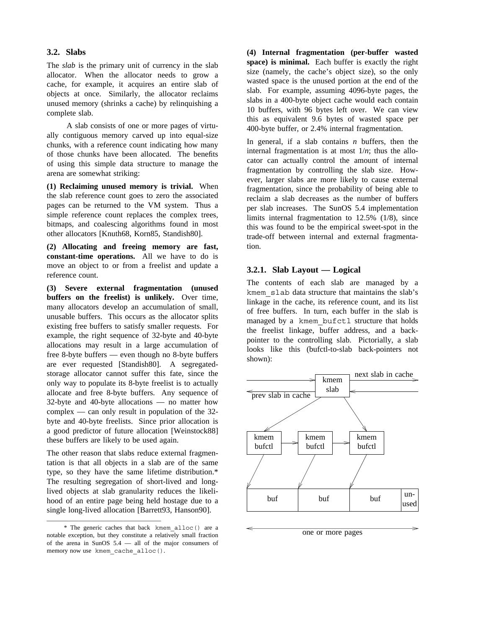#### **3.2. Slabs**

The *slab* is the primary unit of currency in the slab allocator. When the allocator needs to grow a cache, for example, it acquires an entire slab of objects at once. Similarly, the allocator reclaims unused memory (shrinks a cache) by relinquishing a complete slab.

A slab consists of one or more pages of virtually contiguous memory carved up into equal-size chunks, with a reference count indicating how many of those chunks have been allocated. The benefits of using this simple data structure to manage the arena are somewhat striking:

**(1) Reclaiming unused memory is trivial.** When the slab reference count goes to zero the associated pages can be returned to the VM system. Thus a simple reference count replaces the complex trees, bitmaps, and coalescing algorithms found in most other allocators [Knuth68, Korn85, Standish80].

**(2) Allocating and freeing memory are fast, constant-time operations.** All we have to do is move an object to or from a freelist and update a reference count.

**(3) Severe external fragmentation (unused buffers on the freelist) is unlikely.** Over time, many allocators develop an accumulation of small, unusable buffers. This occurs as the allocator splits existing free buffers to satisfy smaller requests. For example, the right sequence of 32-byte and 40-byte allocations may result in a large accumulation of free 8-byte buffers — even though no 8-byte buffers are ever requested [Standish80]. A segregatedstorage allocator cannot suffer this fate, since the only way to populate its 8-byte freelist is to actually allocate and free 8-byte buffers. Any sequence of 32-byte and 40-byte allocations — no matter how complex — can only result in population of the 32 byte and 40-byte freelists. Since prior allocation is a good predictor of future allocation [Weinstock88] these buffers are likely to be used again.

The other reason that slabs reduce external fragmentation is that all objects in a slab are of the same type, so they have the same lifetime distribution.\* The resulting segregation of short-lived and longlived objects at slab granularity reduces the likelihood of an entire page being held hostage due to a single long-lived allocation [Barrett93, Hanson90].

\_\_\_\_\_\_\_\_\_\_\_\_\_\_\_\_\_\_\_\_\_\_\_\_\_\_\_\_\_\_\_\_\_\_\_\_

**(4) Internal fragmentation (per-buffer wasted space) is minimal.** Each buffer is exactly the right size (namely, the cache's object size), so the only wasted space is the unused portion at the end of the slab. For example, assuming 4096-byte pages, the slabs in a 400-byte object cache would each contain 10 buffers, with 96 bytes left over. We can view this as equivalent 9.6 bytes of wasted space per 400-byte buffer, or 2.4% internal fragmentation.

In general, if a slab contains *n* buffers, then the internal fragmentation is at most  $1/n$ ; thus the allocator can actually control the amount of internal fragmentation by controlling the slab size. However, larger slabs are more likely to cause external fragmentation, since the probability of being able to reclaim a slab decreases as the number of buffers per slab increases. The SunOS 5.4 implementation limits internal fragmentation to 12.5% (1/8), since this was found to be the empirical sweet-spot in the trade-off between internal and external fragmentation.

### **3.2.1. Slab Layout — Logical**

The contents of each slab are managed by a kmem\_slab data structure that maintains the slab's linkage in the cache, its reference count, and its list of free buffers. In turn, each buffer in the slab is managed by a kmem bufctl structure that holds the freelist linkage, buffer address, and a backpointer to the controlling slab. Pictorially, a slab looks like this (bufctl-to-slab back-pointers not shown):



one or more pages

<sup>\*</sup> The generic caches that back kmem\_alloc() are a notable exception, but they constitute a relatively small fraction of the arena in SunOS 5.4 — all of the major consumers of memory now use kmem\_cache\_alloc().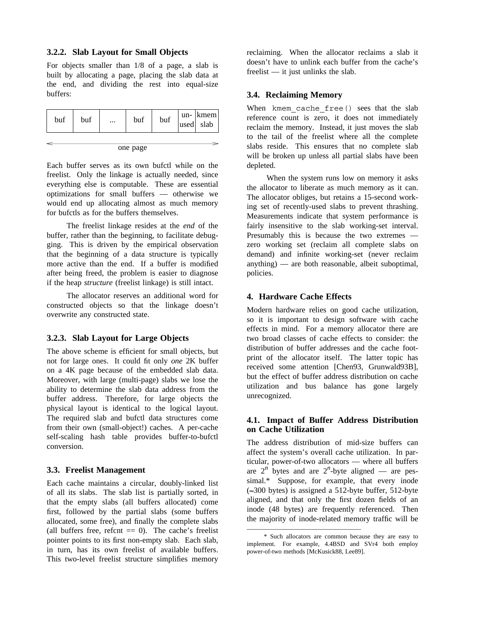#### **3.2.2. Slab Layout for Small Objects**

For objects smaller than 1/8 of a page, a slab is built by allocating a page, placing the slab data at the end, and dividing the rest into equal-size buffers:

| buf      | buf | $\cdots$ | buf | buf | lused | $un-$ kmem<br>slab |
|----------|-----|----------|-----|-----|-------|--------------------|
|          |     |          |     |     |       |                    |
| one page |     |          |     |     |       |                    |

Each buffer serves as its own bufctl while on the freelist. Only the linkage is actually needed, since everything else is computable. These are essential optimizations for small buffers — otherwise we would end up allocating almost as much memory for bufctls as for the buffers themselves.

The freelist linkage resides at the *end* of the buffer, rather than the beginning, to facilitate debugging. This is driven by the empirical observation that the beginning of a data structure is typically more active than the end. If a buffer is modified after being freed, the problem is easier to diagnose if the heap *structure* (freelist linkage) is still intact.

The allocator reserves an additional word for constructed objects so that the linkage doesn't overwrite any constructed state.

#### **3.2.3. Slab Layout for Large Objects**

The above scheme is efficient for small objects, but not for large ones. It could fit only *one* 2K buffer on a 4K page because of the embedded slab data. Moreover, with large (multi-page) slabs we lose the ability to determine the slab data address from the buffer address. Therefore, for large objects the physical layout is identical to the logical layout. The required slab and bufctl data structures come from their own (small-object!) caches. A per-cache self-scaling hash table provides buffer-to-bufctl conversion.

#### **3.3. Freelist Management**

Each cache maintains a circular, doubly-linked list of all its slabs. The slab list is partially sorted, in that the empty slabs (all buffers allocated) come first, followed by the partial slabs (some buffers allocated, some free), and finally the complete slabs (all buffers free, refcnt  $== 0$ ). The cache's freelist pointer points to its first non-empty slab. Each slab, in turn, has its own freelist of available buffers. This two-level freelist structure simplifies memory reclaiming. When the allocator reclaims a slab it doesn't have to unlink each buffer from the cache's freelist — it just unlinks the slab.

#### **3.4. Reclaiming Memory**

When kmem cache free() sees that the slab reference count is zero, it does not immediately reclaim the memory. Instead, it just moves the slab to the tail of the freelist where all the complete slabs reside. This ensures that no complete slab will be broken up unless all partial slabs have been depleted.

When the system runs low on memory it asks the allocator to liberate as much memory as it can. The allocator obliges, but retains a 15-second working set of recently-used slabs to prevent thrashing. Measurements indicate that system performance is fairly insensitive to the slab working-set interval. Presumably this is because the two extremes zero working set (reclaim all complete slabs on demand) and infinite working-set (never reclaim anything) — are both reasonable, albeit suboptimal, policies.

#### **4. Hardware Cache Effects**

Modern hardware relies on good cache utilization, so it is important to design software with cache effects in mind. For a memory allocator there are two broad classes of cache effects to consider: the distribution of buffer addresses and the cache footprint of the allocator itself. The latter topic has received some attention [Chen93, Grunwald93B], but the effect of buffer address distribution on cache utilization and bus balance has gone largely unrecognized.

# **4.1. Impact of Buffer Address Distribution on Cache Utilization**

The address distribution of mid-size buffers can affect the system's overall cache utilization. In particular, power-of-two allocators — where all buffers are  $2^n$  bytes and are  $2^n$ -byte aligned — are pessimal.\* Suppose, for example, that every inode (∼−300 bytes) is assigned a 512-byte buffer, 512-byte aligned, and that only the first dozen fields of an inode (48 bytes) are frequently referenced. Then the majority of inode-related memory traffic will be

\_\_\_\_\_\_\_\_\_\_\_\_\_\_\_\_\_\_\_\_\_\_\_\_\_\_\_\_\_\_\_\_\_\_\_\_

<sup>\*</sup> Such allocators are common because they are easy to implement. For example, 4.4BSD and SVr4 both employ power-of-two methods [McKusick88, Lee89].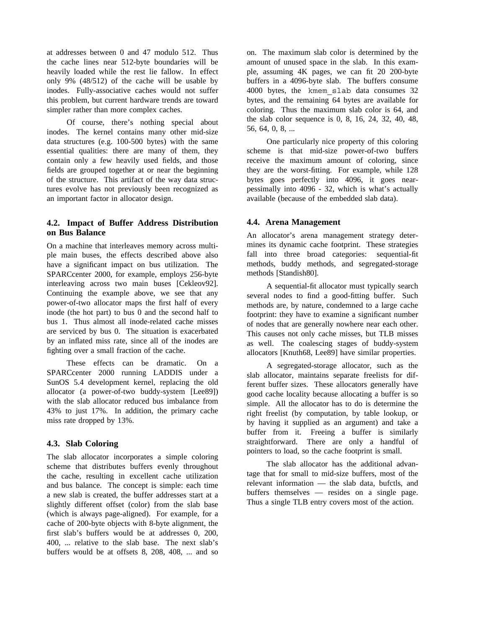at addresses between 0 and 47 modulo 512. Thus the cache lines near 512-byte boundaries will be heavily loaded while the rest lie fallow. In effect only 9% (48/512) of the cache will be usable by inodes. Fully-associative caches would not suffer this problem, but current hardware trends are toward simpler rather than more complex caches.

Of course, there's nothing special about inodes. The kernel contains many other mid-size data structures (e.g. 100-500 bytes) with the same essential qualities: there are many of them, they contain only a few heavily used fields, and those fields are grouped together at or near the beginning of the structure. This artifact of the way data structures evolve has not previously been recognized as an important factor in allocator design.

### **4.2. Impact of Buffer Address Distribution on Bus Balance**

On a machine that interleaves memory across multiple main buses, the effects described above also have a significant impact on bus utilization. The SPARCcenter 2000, for example, employs 256-byte interleaving across two main buses [Cekleov92]. Continuing the example above, we see that any power-of-two allocator maps the first half of every inode (the hot part) to bus 0 and the second half to bus 1. Thus almost all inode-related cache misses are serviced by bus 0. The situation is exacerbated by an inflated miss rate, since all of the inodes are fighting over a small fraction of the cache.

These effects can be dramatic. On a SPARCcenter 2000 running LADDIS under a SunOS 5.4 development kernel, replacing the old allocator (a power-of-two buddy-system [Lee89]) with the slab allocator reduced bus imbalance from 43% to just 17%. In addition, the primary cache miss rate dropped by 13%.

# **4.3. Slab Coloring**

The slab allocator incorporates a simple coloring scheme that distributes buffers evenly throughout the cache, resulting in excellent cache utilization and bus balance. The concept is simple: each time a new slab is created, the buffer addresses start at a slightly different offset (color) from the slab base (which is always page-aligned). For example, for a cache of 200-byte objects with 8-byte alignment, the first slab's buffers would be at addresses 0, 200, 400, ... relative to the slab base. The next slab's buffers would be at offsets 8, 208, 408, ... and so

on. The maximum slab color is determined by the amount of unused space in the slab. In this example, assuming 4K pages, we can fit 20 200-byte buffers in a 4096-byte slab. The buffers consume 4000 bytes, the kmem\_slab data consumes 32 bytes, and the remaining 64 bytes are available for coloring. Thus the maximum slab color is 64, and the slab color sequence is 0, 8, 16, 24, 32, 40, 48, 56, 64, 0, 8, ...

One particularly nice property of this coloring scheme is that mid-size power-of-two buffers receive the maximum amount of coloring, since they are the worst-fitting. For example, while 128 bytes goes perfectly into 4096, it goes nearpessimally into 4096 - 32, which is what's actually available (because of the embedded slab data).

#### **4.4. Arena Management**

An allocator's arena management strategy determines its dynamic cache footprint. These strategies fall into three broad categories: sequential-fit methods, buddy methods, and segregated-storage methods [Standish80].

A sequential-fit allocator must typically search several nodes to find a good-fitting buffer. Such methods are, by nature, condemned to a large cache footprint: they have to examine a significant number of nodes that are generally nowhere near each other. This causes not only cache misses, but TLB misses as well. The coalescing stages of buddy-system allocators [Knuth68, Lee89] have similar properties.

A segregated-storage allocator, such as the slab allocator, maintains separate freelists for different buffer sizes. These allocators generally have good cache locality because allocating a buffer is so simple. All the allocator has to do is determine the right freelist (by computation, by table lookup, or by having it supplied as an argument) and take a buffer from it. Freeing a buffer is similarly straightforward. There are only a handful of pointers to load, so the cache footprint is small.

The slab allocator has the additional advantage that for small to mid-size buffers, most of the relevant information — the slab data, bufctls, and buffers themselves — resides on a single page. Thus a single TLB entry covers most of the action.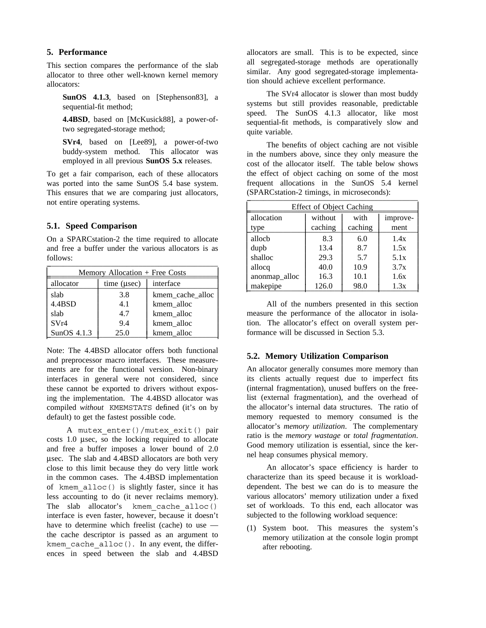### **5. Performance**

This section compares the performance of the slab allocator to three other well-known kernel memory allocators:

**SunOS 4.1.3**, based on [Stephenson83], a sequential-fit method;

**4.4BSD**, based on [McKusick88], a power-oftwo segregated-storage method;

**SVr4**, based on [Lee89], a power-of-two buddy-system method. This allocator was employed in all previous **SunOS 5.x** releases.

To get a fair comparison, each of these allocators was ported into the same SunOS 5.4 base system. This ensures that we are comparing just allocators, not entire operating systems.

### **5.1. Speed Comparison**

On a SPARCstation-2 the time required to allocate and free a buffer under the various allocators is as follows:  $\Box$ 

| Memory Allocation + Free Costs |                   |                  |  |
|--------------------------------|-------------------|------------------|--|
| allocator                      | time $(\mu \sec)$ | interface        |  |
| slab                           | 3.8               | kmem_cache_alloc |  |
| 4.4BSD                         | 4.1               | kmem alloc       |  |
| slab                           | 4.7               | kmem alloc       |  |
| SVr4                           | 9.4               | kmem alloc       |  |
| SunOS $4.1.3$                  | 25.0              | kmem alloc       |  |

Note: The 4.4BSD allocator offers both functional and preprocessor macro interfaces. These measurements are for the functional version. Non-binary interfaces in general were not considered, since these cannot be exported to drivers without exposing the implementation. The 4.4BSD allocator was compiled *without* KMEMSTATS defined (it's on by default) to get the fastest possible code.

A mutex\_enter()/mutex\_exit() pair costs 1.0 μsec, so the locking required to allocate and free a buffer imposes a lower bound of 2.0 μsec. The slab and 4.4BSD allocators are both very close to this limit because they do very little work in the common cases. The 4.4BSD implementation of kmem\_alloc() is slightly faster, since it has less accounting to do (it never reclaims memory). The slab allocator's kmem cache alloc() interface is even faster, however, because it doesn't have to determine which freelist (cache) to use the cache descriptor is passed as an argument to kmem cache  $alloc()$ . In any event, the differences in speed between the slab and 4.4BSD allocators are small. This is to be expected, since all segregated-storage methods are operationally similar. Any good segregated-storage implementation should achieve excellent performance.

The SVr4 allocator is slower than most buddy systems but still provides reasonable, predictable speed. The SunOS 4.1.3 allocator, like most sequential-fit methods, is comparatively slow and quite variable.

The benefits of object caching are not visible in the numbers above, since they only measure the cost of the allocator itself. The table below shows the effect of object caching on some of the most frequent allocations in the SunOS 5.4 kernel (SPARCstation-2 timings, in microseconds): \_ \_\_\_\_\_\_\_\_\_\_\_\_\_\_\_\_\_\_\_\_\_\_\_\_\_\_\_\_\_\_\_\_\_\_\_\_\_\_\_\_\_\_\_

| <b>Effect of Object Caching</b> |         |         |          |  |
|---------------------------------|---------|---------|----------|--|
| allocation                      | without | with    | improve- |  |
| type                            | caching | caching | ment     |  |
| alloch                          | 8.3     | 6.0     | 1.4x     |  |
| dupb                            | 13.4    | 8.7     | 1.5x     |  |
| shalloc                         | 29.3    | 5.7     | 5.1x     |  |
| allocq                          | 40.0    | 10.9    | 3.7x     |  |
| anonmap_alloc                   | 16.3    | 10.1    | 1.6x     |  |
| makepipe                        | 126.0   | 98.0    | 1.3x     |  |

All of the numbers presented in this section measure the performance of the allocator in isolation. The allocator's effect on overall system performance will be discussed in Section 5.3.

# **5.2. Memory Utilization Comparison**

An allocator generally consumes more memory than its clients actually request due to imperfect fits (internal fragmentation), unused buffers on the freelist (external fragmentation), and the overhead of the allocator's internal data structures. The ratio of memory requested to memory consumed is the allocator's *memory utilization*. The complementary ratio is the *memory wastage* or *total fragmentation*. Good memory utilization is essential, since the kernel heap consumes physical memory.

An allocator's space efficiency is harder to characterize than its speed because it is workloaddependent. The best we can do is to measure the various allocators' memory utilization under a fixed set of workloads. To this end, each allocator was subjected to the following workload sequence:

(1) System boot. This measures the system's memory utilization at the console login prompt after rebooting.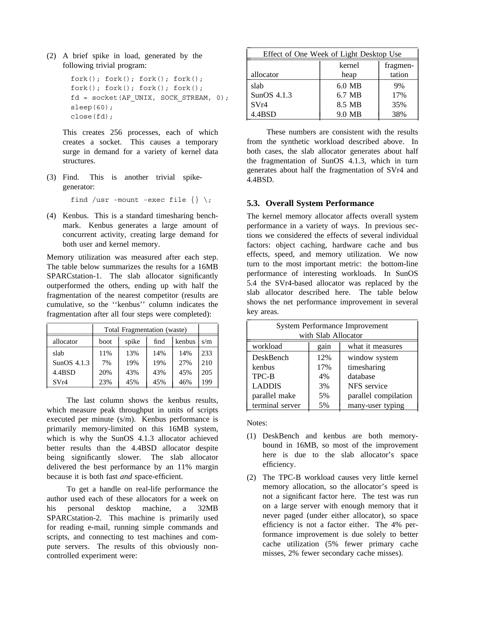(2) A brief spike in load, generated by the following trivial program:

```
fork(); fork(); fork(); fork();
fork(); fork(); fork(); fork();
fd = socket(AF UNIX, SOCK STREAM, 0);sleep(60);
close(fd);
```
This creates 256 processes, each of which creates a socket. This causes a temporary surge in demand for a variety of kernel data structures.

(3) Find. This is another trivial spikegenerator:

find /usr -mount -exec file  $\{\}\ \rangle$ ;

(4) Kenbus. This is a standard timesharing benchmark. Kenbus generates a large amount of concurrent activity, creating large demand for both user and kernel memory.

Memory utilization was measured after each step. The table below summarizes the results for a 16MB SPARCstation-1. The slab allocator significantly outperformed the others, ending up with half the fragmentation of the nearest competitor (results are cumulative, so the ''kenbus'' column indicates the fragmentation after all four steps were completed):

|               | Total Fragmentation (waste) |       |      |        |     |
|---------------|-----------------------------|-------|------|--------|-----|
| allocator     | boot                        | spike | find | kenbus | s/m |
| slab          | 11%                         | 13%   | 14%  | 14%    | 233 |
| SunOS $4.1.3$ | 7%                          | 19%   | 19%  | 27%    | 210 |
| 4.4BSD        | 20%                         | 43%   | 43%  | 45%    | 205 |
| SVr4          | 23%                         | 45%   | 45%  | 46%    | 199 |

The last column shows the kenbus results, which measure peak throughput in units of scripts executed per minute (s/m). Kenbus performance is primarily memory-limited on this 16MB system, which is why the SunOS 4.1.3 allocator achieved better results than the 4.4BSD allocator despite being significantly slower. The slab allocator delivered the best performance by an 11% margin because it is both fast *and* space-efficient.

To get a handle on real-life performance the author used each of these allocators for a week on his personal desktop machine, a 32MB SPARCstation-2. This machine is primarily used for reading e-mail, running simple commands and scripts, and connecting to test machines and compute servers. The results of this obviously noncontrolled experiment were:

| Effect of One Week of Light Desktop Use |          |        |  |  |
|-----------------------------------------|----------|--------|--|--|
| kernel<br>fragmen-                      |          |        |  |  |
| allocator                               | heap     | tation |  |  |
| slab                                    | $6.0$ MB | 9%     |  |  |
| SunOS 4.1.3                             | 6.7 MB   | 17%    |  |  |
| SVr4                                    | 8.5 MB   | 35%    |  |  |
| 4.4BSD                                  | 9.0 MB   | 38%    |  |  |

These numbers are consistent with the results from the synthetic workload described above. In both cases, the slab allocator generates about half the fragmentation of SunOS 4.1.3, which in turn generates about half the fragmentation of SVr4 and 4.4BSD.

# **5.3. Overall System Performance**

The kernel memory allocator affects overall system performance in a variety of ways. In previous sections we considered the effects of several individual factors: object caching, hardware cache and bus effects, speed, and memory utilization. We now turn to the most important metric: the bottom-line performance of interesting workloads. In SunOS 5.4 the SVr4-based allocator was replaced by the slab allocator described here. The table below shows the net performance improvement in several key areas.  $\sum_{i=1}^{n}$ 

| System Performance Improvement            |                            |               |  |
|-------------------------------------------|----------------------------|---------------|--|
| with Slab Allocator                       |                            |               |  |
| workload<br>what it measures<br>gain      |                            |               |  |
| DeskBench                                 | 12%                        | window system |  |
| kenbus                                    | timesharing<br>17%         |               |  |
| TPC-B                                     | 4%                         | database      |  |
| <b>LADDIS</b>                             | NFS service<br>3%          |               |  |
| parallel make                             | parallel compilation<br>5% |               |  |
| terminal server<br>many-user typing<br>5% |                            |               |  |

Notes:

⎜ ⎜ ⎜ ⎜ ⎜ ⎜ ⎜ ⎜ ⎜

- (1) DeskBench and kenbus are both memorybound in 16MB, so most of the improvement here is due to the slab allocator's space efficiency.
- (2) The TPC-B workload causes very little kernel memory allocation, so the allocator's speed is not a significant factor here. The test was run on a large server with enough memory that it never paged (under either allocator), so space efficiency is not a factor either. The 4% performance improvement is due solely to better cache utilization (5% fewer primary cache misses, 2% fewer secondary cache misses).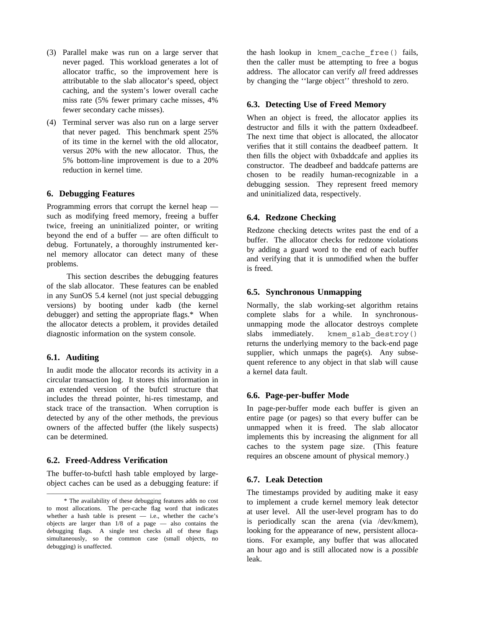- (3) Parallel make was run on a large server that never paged. This workload generates a lot of allocator traffic, so the improvement here is attributable to the slab allocator's speed, object caching, and the system's lower overall cache miss rate (5% fewer primary cache misses, 4% fewer secondary cache misses).
- (4) Terminal server was also run on a large server that never paged. This benchmark spent 25% of its time in the kernel with the old allocator, versus 20% with the new allocator. Thus, the 5% bottom-line improvement is due to a 20% reduction in kernel time.

### **6. Debugging Features**

Programming errors that corrupt the kernel heap such as modifying freed memory, freeing a buffer twice, freeing an uninitialized pointer, or writing beyond the end of a buffer — are often difficult to debug. Fortunately, a thoroughly instrumented kernel memory allocator can detect many of these problems.

This section describes the debugging features of the slab allocator. These features can be enabled in any SunOS 5.4 kernel (not just special debugging versions) by booting under kadb (the kernel debugger) and setting the appropriate flags.\* When the allocator detects a problem, it provides detailed diagnostic information on the system console.

# **6.1. Auditing**

In audit mode the allocator records its activity in a circular transaction log. It stores this information in an extended version of the bufctl structure that includes the thread pointer, hi-res timestamp, and stack trace of the transaction. When corruption is detected by any of the other methods, the previous owners of the affected buffer (the likely suspects) can be determined.

#### **6.2. Freed-Address Verification**

\_\_\_\_\_\_\_\_\_\_\_\_\_\_\_\_\_\_\_\_\_\_\_\_\_\_\_\_\_\_\_\_\_\_\_\_

The buffer-to-bufctl hash table employed by largeobject caches can be used as a debugging feature: if the hash lookup in kmem\_cache\_free() fails, then the caller must be attempting to free a bogus address. The allocator can verify *all* freed addresses by changing the ''large object'' threshold to zero.

### **6.3. Detecting Use of Freed Memory**

When an object is freed, the allocator applies its destructor and fills it with the pattern 0xdeadbeef. The next time that object is allocated, the allocator verifies that it still contains the deadbeef pattern. It then fills the object with 0xbaddcafe and applies its constructor. The deadbeef and baddcafe patterns are chosen to be readily human-recognizable in a debugging session. They represent freed memory and uninitialized data, respectively.

#### **6.4. Redzone Checking**

Redzone checking detects writes past the end of a buffer. The allocator checks for redzone violations by adding a guard word to the end of each buffer and verifying that it is unmodified when the buffer is freed.

# **6.5. Synchronous Unmapping**

Normally, the slab working-set algorithm retains complete slabs for a while. In synchronousunmapping mode the allocator destroys complete slabs immediately. kmem slab destroy() returns the underlying memory to the back-end page supplier, which unmaps the page(s). Any subsequent reference to any object in that slab will cause a kernel data fault.

#### **6.6. Page-per-buffer Mode**

In page-per-buffer mode each buffer is given an entire page (or pages) so that every buffer can be unmapped when it is freed. The slab allocator implements this by increasing the alignment for all caches to the system page size. (This feature requires an obscene amount of physical memory.)

#### **6.7. Leak Detection**

The timestamps provided by auditing make it easy to implement a crude kernel memory leak detector at user level. All the user-level program has to do is periodically scan the arena (via /dev/kmem), looking for the appearance of new, persistent allocations. For example, any buffer that was allocated an hour ago and is still allocated now is a *possible* leak.

<sup>\*</sup> The availability of these debugging features adds no cost to most allocations. The per-cache flag word that indicates whether a hash table is present  $-$  i.e., whether the cache's objects are larger than 1/8 of a page — also contains the debugging flags. A single test checks all of these flags simultaneously, so the common case (small objects, no debugging) is unaffected.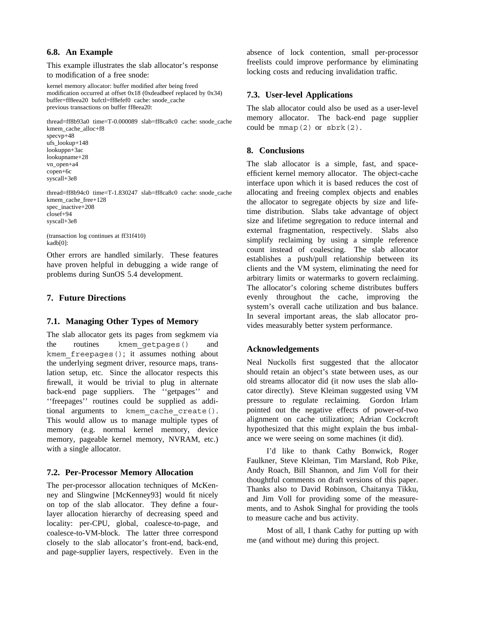# **6.8. An Example**

This example illustrates the slab allocator's response to modification of a free snode:

kernel memory allocator: buffer modified after being freed modification occurred at offset 0x18 (0xdeadbeef replaced by 0x34) buffer=ff8eea20 bufctl=ff8efef0 cache: snode\_cache previous transactions on buffer ff8eea20:

thread=ff8b93a0 time=T-0.000089 slab=ff8ca8c0 cache: snode\_cache kmem\_cache\_alloc+f8 specvp+48 ufs\_lookup+148

lookuppn+3ac lookupname+28 vn\_open+a4 copen+6c syscall+3e8

thread=ff8b94c0 time=T-1.830247 slab=ff8ca8c0 cache: snode\_cache kmem\_cache\_free+128 spec\_inactive+208 closef+94 syscall+3e8

(transaction log continues at ff31f410) kadb[0]:

Other errors are handled similarly. These features have proven helpful in debugging a wide range of problems during SunOS 5.4 development.

# **7. Future Directions**

# **7.1. Managing Other Types of Memory**

The slab allocator gets its pages from segkmem via the routines kmem\_getpages() and kmem\_freepages(); it assumes nothing about the underlying segment driver, resource maps, translation setup, etc. Since the allocator respects this firewall, it would be trivial to plug in alternate back-end page suppliers. The ''getpages'' and ''freepages'' routines could be supplied as additional arguments to kmem\_cache\_create(). This would allow us to manage multiple types of memory (e.g. normal kernel memory, device memory, pageable kernel memory, NVRAM, etc.) with a single allocator.

# **7.2. Per-Processor Memory Allocation**

The per-processor allocation techniques of McKenney and Slingwine [McKenney93] would fit nicely on top of the slab allocator. They define a fourlayer allocation hierarchy of decreasing speed and locality: per-CPU, global, coalesce-to-page, and coalesce-to-VM-block. The latter three correspond closely to the slab allocator's front-end, back-end, and page-supplier layers, respectively. Even in the absence of lock contention, small per-processor freelists could improve performance by eliminating locking costs and reducing invalidation traffic.

# **7.3. User-level Applications**

The slab allocator could also be used as a user-level memory allocator. The back-end page supplier could be  $mmap(2)$  or  $sbrk(2)$ .

# **8. Conclusions**

The slab allocator is a simple, fast, and spaceefficient kernel memory allocator. The object-cache interface upon which it is based reduces the cost of allocating and freeing complex objects and enables the allocator to segregate objects by size and lifetime distribution. Slabs take advantage of object size and lifetime segregation to reduce internal and external fragmentation, respectively. Slabs also simplify reclaiming by using a simple reference count instead of coalescing. The slab allocator establishes a push/pull relationship between its clients and the VM system, eliminating the need for arbitrary limits or watermarks to govern reclaiming. The allocator's coloring scheme distributes buffers evenly throughout the cache, improving the system's overall cache utilization and bus balance. In several important areas, the slab allocator provides measurably better system performance.

# **Acknowledgements**

Neal Nuckolls first suggested that the allocator should retain an object's state between uses, as our old streams allocator did (it now uses the slab allocator directly). Steve Kleiman suggested using VM pressure to regulate reclaiming. Gordon Irlam pointed out the negative effects of power-of-two alignment on cache utilization; Adrian Cockcroft hypothesized that this might explain the bus imbalance we were seeing on some machines (it did).

I'd like to thank Cathy Bonwick, Roger Faulkner, Steve Kleiman, Tim Marsland, Rob Pike, Andy Roach, Bill Shannon, and Jim Voll for their thoughtful comments on draft versions of this paper. Thanks also to David Robinson, Chaitanya Tikku, and Jim Voll for providing some of the measurements, and to Ashok Singhal for providing the tools to measure cache and bus activity.

Most of all, I thank Cathy for putting up with me (and without me) during this project.